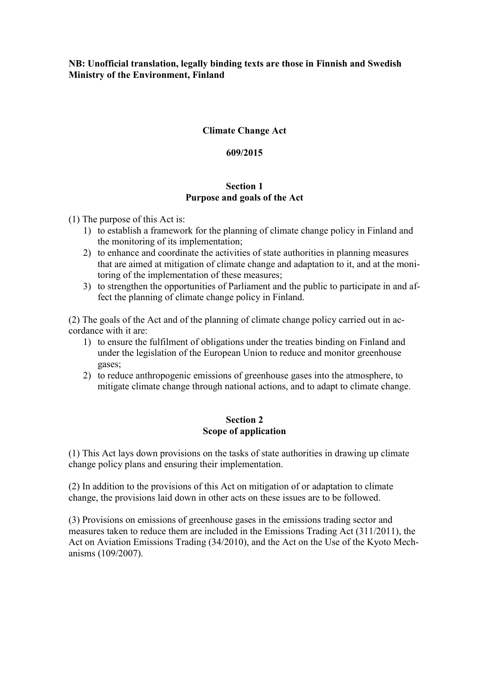# **NB: Unofficial translation, legally binding texts are those in Finnish and Swedish Ministry of the Environment, Finland**

# **Climate Change Act**

### **609/2015**

# **Section 1 Purpose and goals of the Act**

- (1) The purpose of this Act is:
	- 1) to establish a framework for the planning of climate change policy in Finland and the monitoring of its implementation;
	- 2) to enhance and coordinate the activities of state authorities in planning measures that are aimed at mitigation of climate change and adaptation to it, and at the monitoring of the implementation of these measures;
	- 3) to strengthen the opportunities of Parliament and the public to participate in and affect the planning of climate change policy in Finland.

(2) The goals of the Act and of the planning of climate change policy carried out in accordance with it are:

- 1) to ensure the fulfilment of obligations under the treaties binding on Finland and under the legislation of the European Union to reduce and monitor greenhouse gases;
- 2) to reduce anthropogenic emissions of greenhouse gases into the atmosphere, to mitigate climate change through national actions, and to adapt to climate change.

### **Section 2 Scope of application**

(1) This Act lays down provisions on the tasks of state authorities in drawing up climate change policy plans and ensuring their implementation.

(2) In addition to the provisions of this Act on mitigation of or adaptation to climate change, the provisions laid down in other acts on these issues are to be followed.

(3) Provisions on emissions of greenhouse gases in the emissions trading sector and measures taken to reduce them are included in the Emissions Trading Act (311/2011), the Act on Aviation Emissions Trading (34/2010), and the Act on the Use of the Kyoto Mechanisms (109/2007).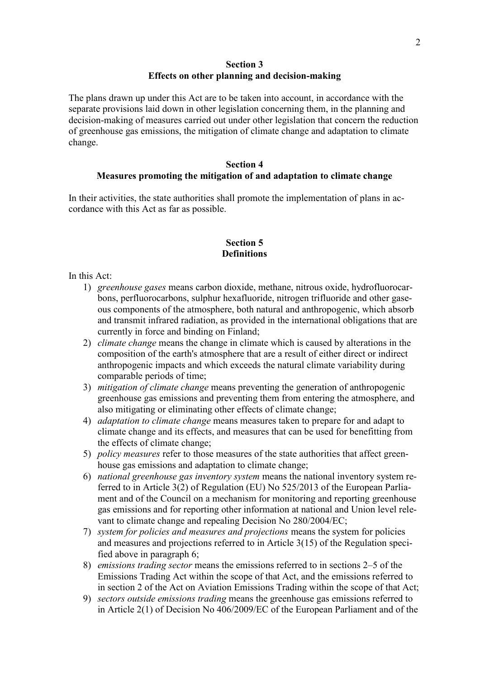### **Section 3 Effects on other planning and decision-making**

The plans drawn up under this Act are to be taken into account, in accordance with the separate provisions laid down in other legislation concerning them, in the planning and decision-making of measures carried out under other legislation that concern the reduction of greenhouse gas emissions, the mitigation of climate change and adaptation to climate change.

# **Section 4 Measures promoting the mitigation of and adaptation to climate change**

In their activities, the state authorities shall promote the implementation of plans in accordance with this Act as far as possible.

### **Section 5 Definitions**

In this Act:

- 1) *greenhouse gases* means carbon dioxide, methane, nitrous oxide, hydrofluorocarbons, perfluorocarbons, sulphur hexafluoride, nitrogen trifluoride and other gaseous components of the atmosphere, both natural and anthropogenic, which absorb and transmit infrared radiation, as provided in the international obligations that are currently in force and binding on Finland;
- 2) *climate change* means the change in climate which is caused by alterations in the composition of the earth's atmosphere that are a result of either direct or indirect anthropogenic impacts and which exceeds the natural climate variability during comparable periods of time;
- 3) *mitigation of climate change* means preventing the generation of anthropogenic greenhouse gas emissions and preventing them from entering the atmosphere, and also mitigating or eliminating other effects of climate change;
- 4) *adaptation to climate change* means measures taken to prepare for and adapt to climate change and its effects, and measures that can be used for benefitting from the effects of climate change;
- 5) *policy measures* refer to those measures of the state authorities that affect greenhouse gas emissions and adaptation to climate change;
- 6) *national greenhouse gas inventory system* means the national inventory system referred to in Article 3(2) of Regulation (EU) No 525/2013 of the European Parliament and of the Council on a mechanism for monitoring and reporting greenhouse gas emissions and for reporting other information at national and Union level relevant to climate change and repealing Decision No 280/2004/EC;
- 7) *system for policies and measures and projections* means the system for policies and measures and projections referred to in Article 3(15) of the Regulation specified above in paragraph 6;
- 8) *emissions trading sector* means the emissions referred to in sections 2–5 of the Emissions Trading Act within the scope of that Act, and the emissions referred to in section 2 of the Act on Aviation Emissions Trading within the scope of that Act;
- 9) *sectors outside emissions trading* means the greenhouse gas emissions referred to in Article 2(1) of Decision No 406/2009/EC of the European Parliament and of the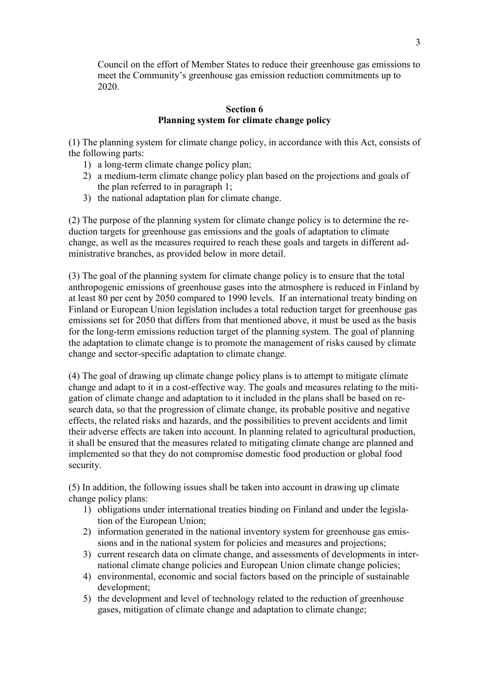Council on the effort of Member States to reduce their greenhouse gas emissions to meet the Community's greenhouse gas emission reduction commitments up to 2020.

## **Section 6 Planning system for climate change policy**

(1) The planning system for climate change policy, in accordance with this Act, consists of the following parts:

- 1) a long-term climate change policy plan;
- 2) a medium-term climate change policy plan based on the projections and goals of the plan referred to in paragraph 1;
- 3) the national adaptation plan for climate change.

(2) The purpose of the planning system for climate change policy is to determine the reduction targets for greenhouse gas emissions and the goals of adaptation to climate change, as well as the measures required to reach these goals and targets in different administrative branches, as provided below in more detail.

(3) The goal of the planning system for climate change policy is to ensure that the total anthropogenic emissions of greenhouse gases into the atmosphere is reduced in Finland by at least 80 per cent by 2050 compared to 1990 levels. If an international treaty binding on Finland or European Union legislation includes a total reduction target for greenhouse gas emissions set for 2050 that differs from that mentioned above, it must be used as the basis for the long-term emissions reduction target of the planning system. The goal of planning the adaptation to climate change is to promote the management of risks caused by climate change and sector-specific adaptation to climate change.

(4) The goal of drawing up climate change policy plans is to attempt to mitigate climate change and adapt to it in a cost-effective way. The goals and measures relating to the mitigation of climate change and adaptation to it included in the plans shall be based on research data, so that the progression of climate change, its probable positive and negative effects, the related risks and hazards, and the possibilities to prevent accidents and limit their adverse effects are taken into account. In planning related to agricultural production, it shall be ensured that the measures related to mitigating climate change are planned and implemented so that they do not compromise domestic food production or global food security.

(5) In addition, the following issues shall be taken into account in drawing up climate change policy plans:

- 1) obligations under international treaties binding on Finland and under the legislation of the European Union;
- 2) information generated in the national inventory system for greenhouse gas emissions and in the national system for policies and measures and projections;
- 3) current research data on climate change, and assessments of developments in international climate change policies and European Union climate change policies;
- 4) environmental, economic and social factors based on the principle of sustainable development;
- 5) the development and level of technology related to the reduction of greenhouse gases, mitigation of climate change and adaptation to climate change;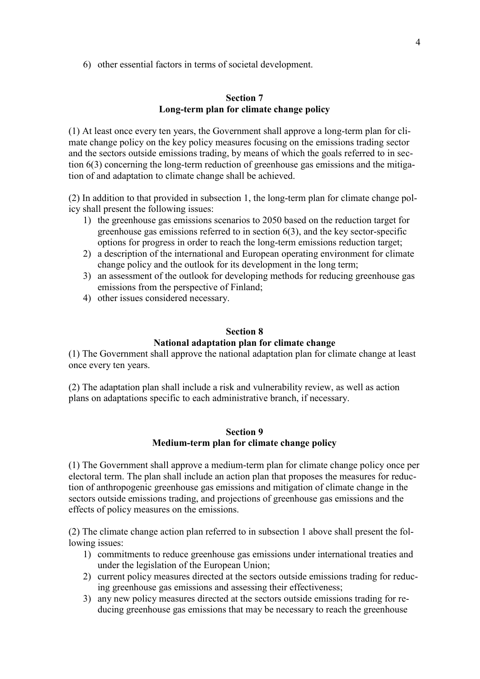6) other essential factors in terms of societal development.

# **Section 7 Long-term plan for climate change policy**

(1) At least once every ten years, the Government shall approve a long-term plan for climate change policy on the key policy measures focusing on the emissions trading sector and the sectors outside emissions trading, by means of which the goals referred to in section 6(3) concerning the long-term reduction of greenhouse gas emissions and the mitigation of and adaptation to climate change shall be achieved.

(2) In addition to that provided in subsection 1, the long-term plan for climate change policy shall present the following issues:

- 1) the greenhouse gas emissions scenarios to 2050 based on the reduction target for greenhouse gas emissions referred to in section 6(3), and the key sector-specific options for progress in order to reach the long-term emissions reduction target;
- 2) a description of the international and European operating environment for climate change policy and the outlook for its development in the long term;
- 3) an assessment of the outlook for developing methods for reducing greenhouse gas emissions from the perspective of Finland;
- 4) other issues considered necessary.

# **Section 8 National adaptation plan for climate change**

(1) The Government shall approve the national adaptation plan for climate change at least once every ten years.

(2) The adaptation plan shall include a risk and vulnerability review, as well as action plans on adaptations specific to each administrative branch, if necessary.

## **Section 9 Medium-term plan for climate change policy**

(1) The Government shall approve a medium-term plan for climate change policy once per electoral term. The plan shall include an action plan that proposes the measures for reduction of anthropogenic greenhouse gas emissions and mitigation of climate change in the sectors outside emissions trading, and projections of greenhouse gas emissions and the effects of policy measures on the emissions.

(2) The climate change action plan referred to in subsection 1 above shall present the following issues:

- 1) commitments to reduce greenhouse gas emissions under international treaties and under the legislation of the European Union;
- 2) current policy measures directed at the sectors outside emissions trading for reducing greenhouse gas emissions and assessing their effectiveness;
- 3) any new policy measures directed at the sectors outside emissions trading for reducing greenhouse gas emissions that may be necessary to reach the greenhouse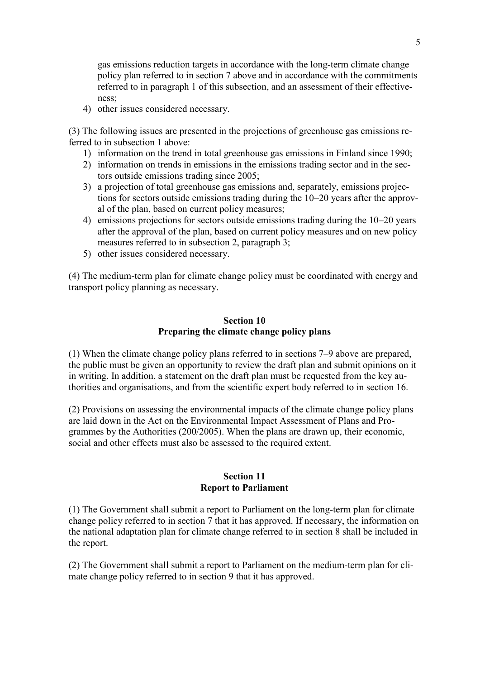gas emissions reduction targets in accordance with the long-term climate change policy plan referred to in section 7 above and in accordance with the commitments referred to in paragraph 1 of this subsection, and an assessment of their effectiveness;

4) other issues considered necessary.

(3) The following issues are presented in the projections of greenhouse gas emissions referred to in subsection 1 above:

- 1) information on the trend in total greenhouse gas emissions in Finland since 1990;
- 2) information on trends in emissions in the emissions trading sector and in the sectors outside emissions trading since 2005;
- 3) a projection of total greenhouse gas emissions and, separately, emissions projections for sectors outside emissions trading during the 10–20 years after the approval of the plan, based on current policy measures;
- 4) emissions projections for sectors outside emissions trading during the 10–20 years after the approval of the plan, based on current policy measures and on new policy measures referred to in subsection 2, paragraph 3;
- 5) other issues considered necessary.

(4) The medium-term plan for climate change policy must be coordinated with energy and transport policy planning as necessary.

# **Section 10 Preparing the climate change policy plans**

(1) When the climate change policy plans referred to in sections 7–9 above are prepared, the public must be given an opportunity to review the draft plan and submit opinions on it in writing. In addition, a statement on the draft plan must be requested from the key authorities and organisations, and from the scientific expert body referred to in section 16.

(2) Provisions on assessing the environmental impacts of the climate change policy plans are laid down in the Act on the Environmental Impact Assessment of Plans and Programmes by the Authorities (200/2005). When the plans are drawn up, their economic, social and other effects must also be assessed to the required extent.

### **Section 11 Report to Parliament**

(1) The Government shall submit a report to Parliament on the long-term plan for climate change policy referred to in section 7 that it has approved. If necessary, the information on the national adaptation plan for climate change referred to in section 8 shall be included in the report.

(2) The Government shall submit a report to Parliament on the medium-term plan for climate change policy referred to in section 9 that it has approved.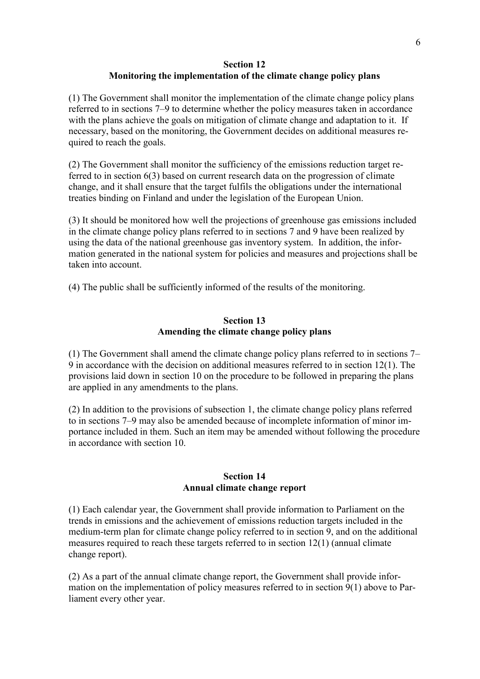# **Section 12 Monitoring the implementation of the climate change policy plans**

(1) The Government shall monitor the implementation of the climate change policy plans referred to in sections 7–9 to determine whether the policy measures taken in accordance with the plans achieve the goals on mitigation of climate change and adaptation to it. If necessary, based on the monitoring, the Government decides on additional measures required to reach the goals.

(2) The Government shall monitor the sufficiency of the emissions reduction target referred to in section 6(3) based on current research data on the progression of climate change, and it shall ensure that the target fulfils the obligations under the international treaties binding on Finland and under the legislation of the European Union.

(3) It should be monitored how well the projections of greenhouse gas emissions included in the climate change policy plans referred to in sections 7 and 9 have been realized by using the data of the national greenhouse gas inventory system. In addition, the information generated in the national system for policies and measures and projections shall be taken into account.

(4) The public shall be sufficiently informed of the results of the monitoring.

# **Section 13 Amending the climate change policy plans**

(1) The Government shall amend the climate change policy plans referred to in sections 7– 9 in accordance with the decision on additional measures referred to in section 12(1). The provisions laid down in section 10 on the procedure to be followed in preparing the plans are applied in any amendments to the plans.

(2) In addition to the provisions of subsection 1, the climate change policy plans referred to in sections 7–9 may also be amended because of incomplete information of minor importance included in them. Such an item may be amended without following the procedure in accordance with section 10.

## **Section 14 Annual climate change report**

(1) Each calendar year, the Government shall provide information to Parliament on the trends in emissions and the achievement of emissions reduction targets included in the medium-term plan for climate change policy referred to in section 9, and on the additional measures required to reach these targets referred to in section 12(1) (annual climate change report).

(2) As a part of the annual climate change report, the Government shall provide information on the implementation of policy measures referred to in section 9(1) above to Parliament every other year.